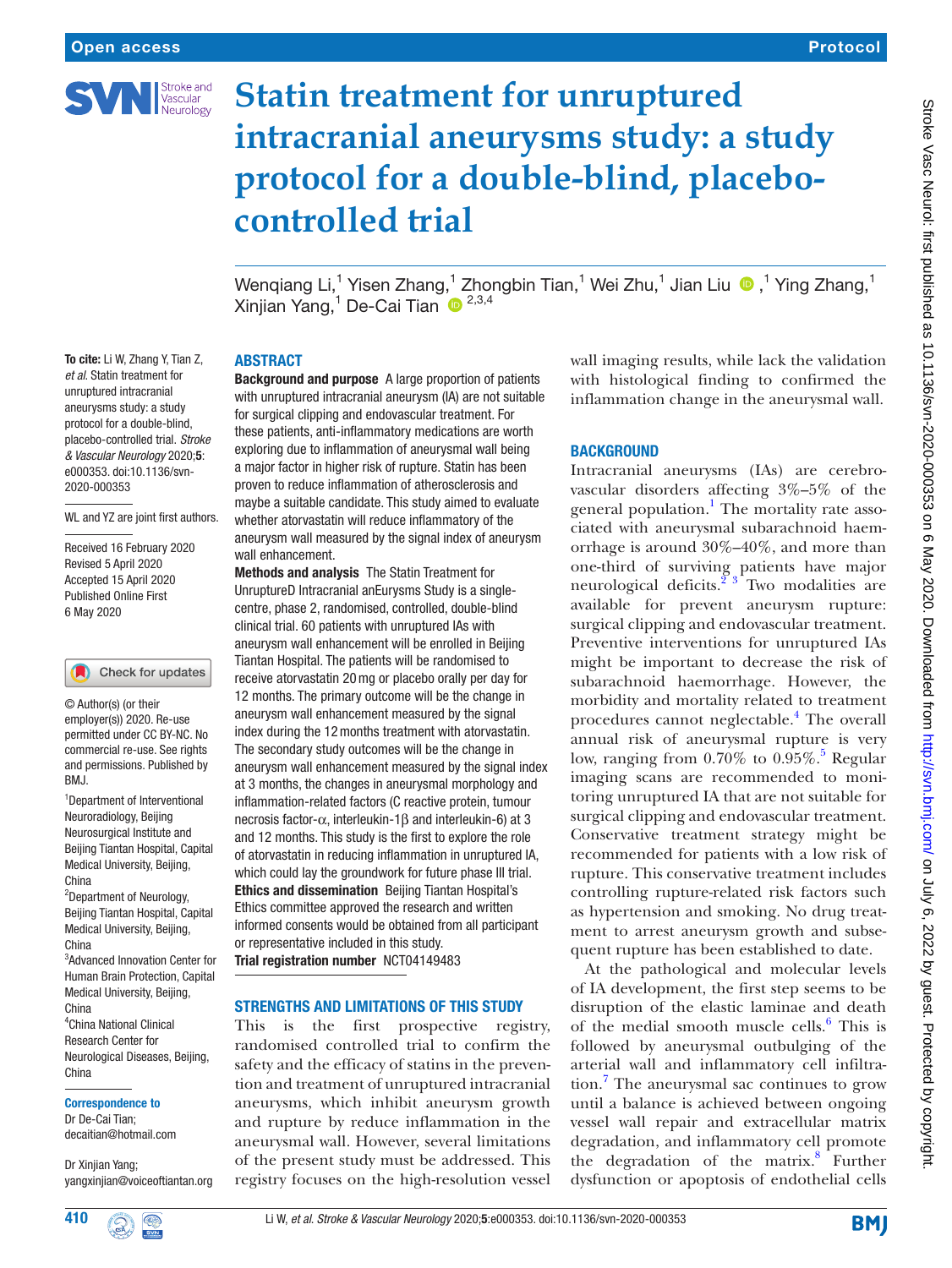

# **Statin treatment for unruptured intracranial aneurysms study: a study protocol for a double-blind, placebocontrolled trial**

WenqiangLi,<sup>1</sup> Yisen Zhang,<sup>1</sup> Zhongbin Tian,<sup>1</sup> Wei Zhu,<sup>1</sup> Jian Liu ��,<sup>1</sup> Ying Zhang,<sup>1</sup> Xinjian Yang,<sup>1</sup> De-Cai Tian ® <sup>2,3,4</sup>

# **ABSTRACT**

Background and purpose A large proportion of patients with unruptured intracranial aneurysm (IA) are not suitable for surgical clipping and endovascular treatment. For these patients, anti-inflammatory medications are worth exploring due to inflammation of aneurysmal wall being a major factor in higher risk of rupture. Statin has been proven to reduce inflammation of atherosclerosis and maybe a suitable candidate. This study aimed to evaluate whether atorvastatin will reduce inflammatory of the aneurysm wall measured by the signal index of aneurysm wall enhancement.

Methods and analysis The Statin Treatment for UnruptureD Intracranial anEurysms Study is a singlecentre, phase 2, randomised, controlled, double-blind clinical trial. 60 patients with unruptured IAs with aneurysm wall enhancement will be enrolled in Beijing Tiantan Hospital. The patients will be randomised to receive atorvastatin 20mg or placebo orally per day for 12 months. The primary outcome will be the change in aneurysm wall enhancement measured by the signal index during the 12months treatment with atorvastatin. The secondary study outcomes will be the change in aneurysm wall enhancement measured by the signal index at 3 months, the changes in aneurysmal morphology and inflammation-related factors (C reactive protein, tumour necrosis factor-α, interleukin-1β and interleukin-6) at 3 and 12 months. This study is the first to explore the role of atorvastatin in reducing inflammation in unruptured IA, which could lay the groundwork for future phase III trial. Ethics and dissemination Beijing Tiantan Hospital's Ethics committee approved the research and written informed consents would be obtained from all participant or representative included in this study. Trial registration number <NCT04149483>

#### Strengths and limitations of this study

This is the first prospective registry, randomised controlled trial to confirm the safety and the efficacy of statins in the prevention and treatment of unruptured intracranial aneurysms, which inhibit aneurysm growth and rupture by reduce inflammation in the aneurysmal wall. However, several limitations of the present study must be addressed. This registry focuses on the high-resolution vessel wall imaging results, while lack the validation with histological finding to confirmed the inflammation change in the aneurysmal wall.

# **BACKGROUND**

Intracranial aneurysms (IAs) are cerebrovascular disorders affecting 3%–5% of the general population.<sup>1</sup> The mortality rate associated with aneurysmal subarachnoid haemorrhage is around 30%–40%, and more than one-third of surviving patients have major neurological deficits.<sup>2</sup> <sup>3</sup> Two modalities are available for prevent aneurysm rupture: surgical clipping and endovascular treatment. Preventive interventions for unruptured IAs might be important to decrease the risk of subarachnoid haemorrhage. However, the morbidity and mortality related to treatment procedures cannot neglectable.<sup>[4](#page-4-2)</sup> The overall annual risk of aneurysmal rupture is very low, ranging from  $0.70\%$  to  $0.95\%$  $0.95\%$  $0.95\%$ .<sup>5</sup> Regular imaging scans are recommended to monitoring unruptured IA that are not suitable for surgical clipping and endovascular treatment. Conservative treatment strategy might be recommended for patients with a low risk of rupture. This conservative treatment includes controlling rupture-related risk factors such as hypertension and smoking. No drug treatment to arrest aneurysm growth and subsequent rupture has been established to date.

At the pathological and molecular levels of IA development, the first step seems to be disruption of the elastic laminae and death of the medial smooth muscle cells.<sup>[6](#page-4-4)</sup> This is followed by aneurysmal outbulging of the arterial wall and inflammatory cell infiltration[.7](#page-4-5) The aneurysmal sac continues to grow until a balance is achieved between ongoing vessel wall repair and extracellular matrix degradation, and inflammatory cell promote the degradation of the matrix. $8$  Further dysfunction or apoptosis of endothelial cells

protocol for a double-blind, placebo-controlled trial. *Stroke & Vascular Neurology* 2020;5: e000353. doi:10.1136/svn-2020-000353

To cite: Li W, Zhang Y, Tian Z, *et al*. Statin treatment for unruptured intracranial aneurysms study: a study

WL and YZ are joint first authors.

Received 16 February 2020 Revised 5 April 2020 Accepted 15 April 2020 Published Online First 6 May 2020

#### Check for updates

© Author(s) (or their employer(s)) 2020. Re-use permitted under CC BY-NC. No commercial re-use. See rights and permissions. Published by BMJ.

1 Department of Interventional Neuroradiology, Beijing Neurosurgical Institute and Beijing Tiantan Hospital, Capital Medical University, Beijing, China

<sup>2</sup>Department of Neurology, Beijing Tiantan Hospital, Capital Medical University, Beijing, China

3 Advanced Innovation Center for Human Brain Protection, Capital Medical University, Beijing, China 4 China National Clinical Research Center for Neurological Diseases, Beijing, China

#### Correspondence to

Dr De-Cai Tian; decaitian@hotmail.com

Dr Xinjian Yang; yangxinjian@voiceoftiantan.org



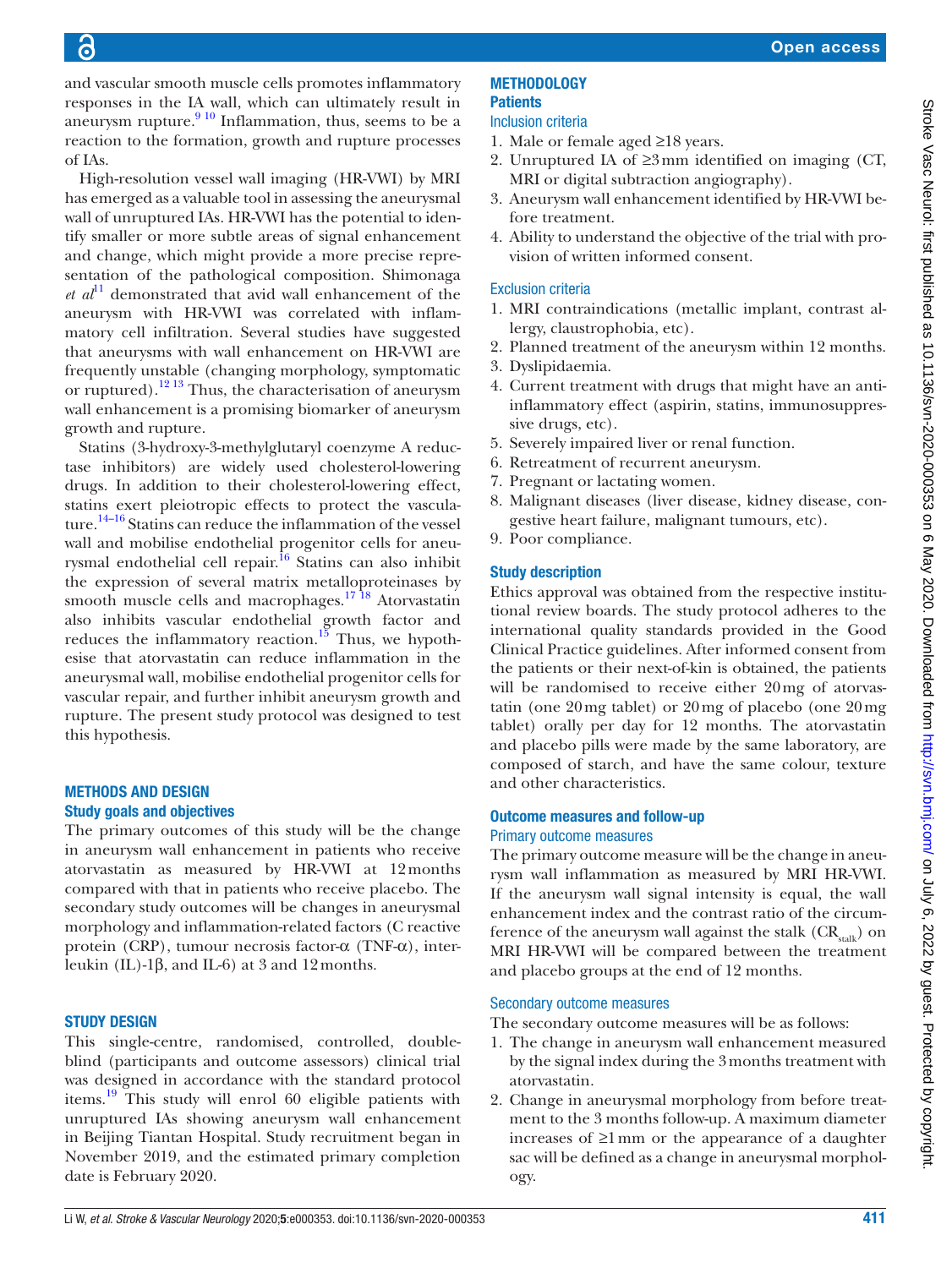and vascular smooth muscle cells promotes inflammatory responses in the IA wall, which can ultimately result in aneurysm rupture. $\frac{910}{910}$  Inflammation, thus, seems to be a reaction to the formation, growth and rupture processes of IAs.

High-resolution vessel wall imaging (HR-VWI) by MRI has emerged as a valuable tool in assessing the aneurysmal wall of unruptured IAs. HR-VWI has the potential to identify smaller or more subtle areas of signal enhancement and change, which might provide a more precise representation of the pathological composition. Shimonaga *et al*[11](#page-4-8) demonstrated that avid wall enhancement of the aneurysm with HR-VWI was correlated with inflammatory cell infiltration. Several studies have suggested that aneurysms with wall enhancement on HR-VWI are frequently unstable (changing morphology, symptomatic or ruptured)[.12 13](#page-4-9) Thus, the characterisation of aneurysm wall enhancement is a promising biomarker of aneurysm growth and rupture.

Statins (3-hydroxy-3-methylglutaryl coenzyme A reductase inhibitors) are widely used cholesterol-lowering drugs. In addition to their cholesterol-lowering effect, statins exert pleiotropic effects to protect the vascula-ture.<sup>[14–16](#page-4-10)</sup> Statins can reduce the inflammation of the vessel wall and mobilise endothelial progenitor cells for aneurysmal endothelial cell repair.<sup>16</sup> Statins can also inhibit the expression of several matrix metalloproteinases by smooth muscle cells and macrophages.<sup>17</sup> 18 Atorvastatin also inhibits vascular endothelial growth factor and reduces the inflammatory reaction.<sup>15</sup> Thus, we hypothesise that atorvastatin can reduce inflammation in the aneurysmal wall, mobilise endothelial progenitor cells for vascular repair, and further inhibit aneurysm growth and rupture. The present study protocol was designed to test this hypothesis.

# Methods and design Study goals and objectives

The primary outcomes of this study will be the change in aneurysm wall enhancement in patients who receive atorvastatin as measured by HR-VWI at 12months compared with that in patients who receive placebo. The secondary study outcomes will be changes in aneurysmal morphology and inflammation-related factors (C reactive protein (CRP), tumour necrosis factor- $\alpha$  (TNF- $\alpha$ ), interleukin (IL)-1β, and IL-6) at 3 and 12 months.

# **STUDY DESIGN**

This single-centre, randomised, controlled, doubleblind (participants and outcome assessors) clinical trial was designed in accordance with the standard protocol items[.19](#page-4-14) This study will enrol 60 eligible patients with unruptured IAs showing aneurysm wall enhancement in Beijing Tiantan Hospital. Study recruitment began in November 2019, and the estimated primary completion date is February 2020.

# **METHODOLOGY Patients**

# Inclusion criteria

- 1. Male or female aged ≥18 years.
- 2. Unruptured IA of  $\geq 3$  mm identified on imaging (CT, MRI or digital subtraction angiography).
- 3. Aneurysm wall enhancement identified by HR-VWI before treatment.
- 4. Ability to understand the objective of the trial with provision of written informed consent.

# Exclusion criteria

- 1. MRI contraindications (metallic implant, contrast allergy, claustrophobia, etc).
- 2. Planned treatment of the aneurysm within 12 months.
- 3. Dyslipidaemia.
- 4. Current treatment with drugs that might have an antiinflammatory effect (aspirin, statins, immunosuppressive drugs, etc).
- 5. Severely impaired liver or renal function.
- 6. Retreatment of recurrent aneurysm.
- 7. Pregnant or lactating women.
- 8. Malignant diseases (liver disease, kidney disease, congestive heart failure, malignant tumours, etc).
- 9. Poor compliance.

# Study description

Ethics approval was obtained from the respective institutional review boards. The study protocol adheres to the international quality standards provided in the Good Clinical Practice guidelines. After informed consent from the patients or their next-of-kin is obtained, the patients will be randomised to receive either 20 mg of atorvastatin (one 20mg tablet) or 20mg of placebo (one 20mg tablet) orally per day for 12 months. The atorvastatin and placebo pills were made by the same laboratory, are composed of starch, and have the same colour, texture and other characteristics.

# Outcome measures and follow-up

# Primary outcome measures

The primary outcome measure will be the change in aneurysm wall inflammation as measured by MRI HR-VWI. If the aneurysm wall signal intensity is equal, the wall enhancement index and the contrast ratio of the circumference of the aneurysm wall against the stalk  $(CR_{\text{stalt}})$  on MRI HR-VWI will be compared between the treatment and placebo groups at the end of 12 months.

# Secondary outcome measures

The secondary outcome measures will be as follows:

- 1. The change in aneurysm wall enhancement measured by the signal index during the 3months treatment with atorvastatin.
- 2. Change in aneurysmal morphology from before treatment to the 3 months follow-up. A maximum diameter increases of ≥1mm or the appearance of a daughter sac will be defined as a change in aneurysmal morphology.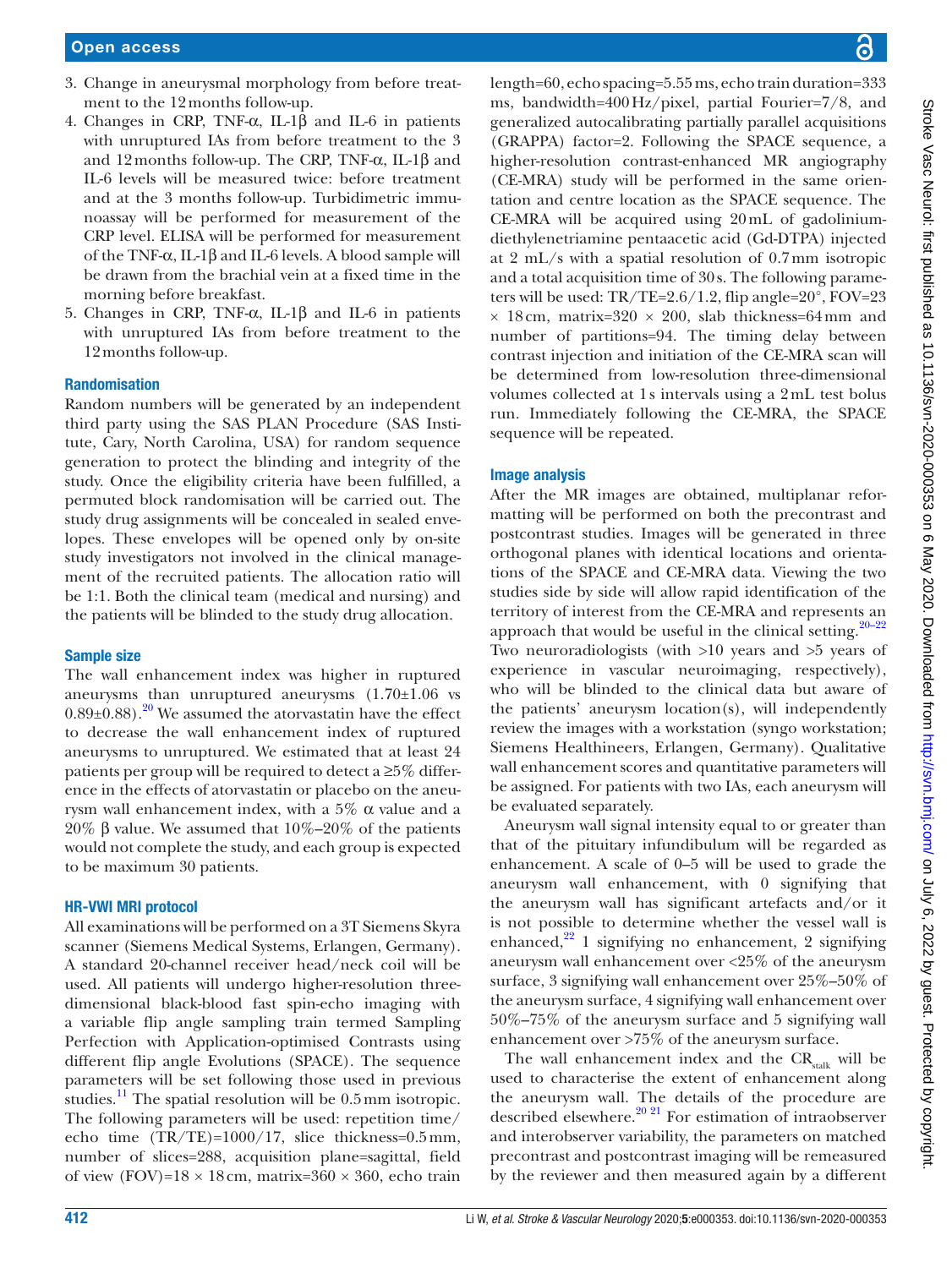- 3. Change in aneurysmal morphology from before treatment to the 12months follow-up.
- 4. Changes in CRP, TNF-α, IL-1β and IL-6 in patients with unruptured IAs from before treatment to the 3 and 12months follow-up. The CRP, TNF-α, IL-1β and IL-6 levels will be measured twice: before treatment and at the 3 months follow-up. Turbidimetric immunoassay will be performed for measurement of the CRP level. ELISA will be performed for measurement of the TNF-α, IL-1β and IL-6 levels. A blood sample will be drawn from the brachial vein at a fixed time in the morning before breakfast.
- 5. Changes in CRP, TNF-α, IL-1β and IL-6 in patients with unruptured IAs from before treatment to the 12months follow-up.

# Randomisation

Random numbers will be generated by an independent third party using the SAS PLAN Procedure (SAS Institute, Cary, North Carolina, USA) for random sequence generation to protect the blinding and integrity of the study. Once the eligibility criteria have been fulfilled, a permuted block randomisation will be carried out. The study drug assignments will be concealed in sealed envelopes. These envelopes will be opened only by on-site study investigators not involved in the clinical management of the recruited patients. The allocation ratio will be 1:1. Both the clinical team (medical and nursing) and the patients will be blinded to the study drug allocation.

### Sample size

The wall enhancement index was higher in ruptured aneurysms than unruptured aneurysms (1.70±1.06 vs  $0.89\pm0.88$ .<sup>20</sup> We assumed the atorvastatin have the effect to decrease the wall enhancement index of ruptured aneurysms to unruptured. We estimated that at least 24 patients per group will be required to detect a  $\geq 5\%$  difference in the effects of atorvastatin or placebo on the aneurysm wall enhancement index, with a  $5\%$   $\alpha$  value and a 20% β value. We assumed that 10%–20% of the patients would not complete the study, and each group is expected to be maximum 30 patients.

# HR-VWI MRI protocol

All examinations will be performed on a 3T Siemens Skyra scanner (Siemens Medical Systems, Erlangen, Germany). A standard 20-channel receiver head/neck coil will be used. All patients will undergo higher-resolution threedimensional black-blood fast spin-echo imaging with a variable flip angle sampling train termed Sampling Perfection with Application-optimised Contrasts using different flip angle Evolutions (SPACE). The sequence parameters will be set following those used in previous studies. $^{11}$  The spatial resolution will be 0.5 mm isotropic. The following parameters will be used: repetition time/ echo time  $(TR/TE)=1000/17$ , slice thickness=0.5 mm, number of slices=288, acquisition plane=sagittal, field of view (FOV)= $18 \times 18$  cm, matrix= $360 \times 360$ , echo train

length=60, echo spacing=5.55 ms, echo train duration=333 ms, bandwidth=400Hz/pixel, partial Fourier=7/8, and generalized autocalibrating partially parallel acquisitions (GRAPPA) factor=2. Following the SPACE sequence, a higher-resolution contrast-enhanced MR angiography (CE-MRA) study will be performed in the same orientation and centre location as the SPACE sequence. The CE-MRA will be acquired using 20mL of gadoliniumdiethylenetriamine pentaacetic acid (Gd-DTPA) injected at 2 mL/s with a spatial resolution of 0.7mm isotropic and a total acquisition time of 30s. The following parameters will be used: TR/TE=2.6/1.2, flip angle=20°, FOV=23  $\times$  18cm, matrix=320  $\times$  200, slab thickness=64mm and number of partitions=94. The timing delay between contrast injection and initiation of the CE-MRA scan will be determined from low-resolution three-dimensional volumes collected at 1s intervals using a 2mL test bolus run. Immediately following the CE-MRA, the SPACE sequence will be repeated.

# Image analysis

After the MR images are obtained, multiplanar reformatting will be performed on both the precontrast and postcontrast studies. Images will be generated in three orthogonal planes with identical locations and orientations of the SPACE and CE-MRA data. Viewing the two studies side by side will allow rapid identification of the territory of interest from the CE-MRA and represents an approach that would be useful in the clinical setting. $20-22$ Two neuroradiologists (with >10 years and >5 years of experience in vascular neuroimaging, respectively), who will be blinded to the clinical data but aware of the patients' aneurysm location(s), will independently review the images with a workstation (syngo workstation; Siemens Healthineers, Erlangen, Germany). Qualitative wall enhancement scores and quantitative parameters will be assigned. For patients with two IAs, each aneurysm will be evaluated separately.

Aneurysm wall signal intensity equal to or greater than that of the pituitary infundibulum will be regarded as enhancement. A scale of 0–5 will be used to grade the aneurysm wall enhancement, with 0 signifying that the aneurysm wall has significant artefacts and/or it is not possible to determine whether the vessel wall is enhanced, $^{22}$  1 signifying no enhancement, 2 signifying aneurysm wall enhancement over <25% of the aneurysm surface, 3 signifying wall enhancement over 25%–50% of the aneurysm surface, 4 signifying wall enhancement over 50%–75% of the aneurysm surface and 5 signifying wall enhancement over >75% of the aneurysm surface.

The wall enhancement index and the  $CR_{\text{stalk}}$  will be used to characterise the extent of enhancement along the aneurysm wall. The details of the procedure are described elsewhere.<sup>20 21</sup> For estimation of intraobserver and interobserver variability, the parameters on matched precontrast and postcontrast imaging will be remeasured by the reviewer and then measured again by a different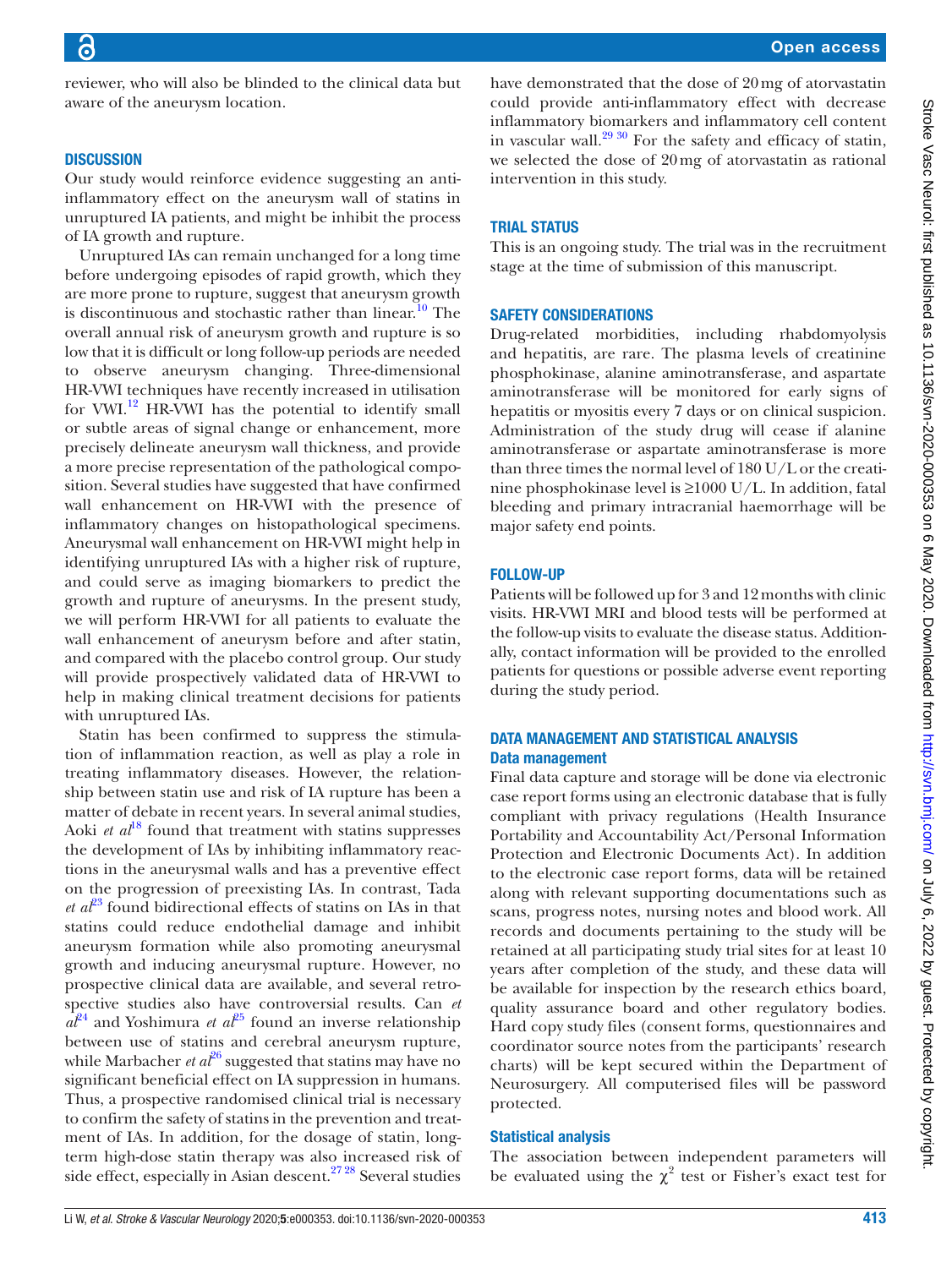reviewer, who will also be blinded to the clinical data but aware of the aneurysm location.

# **DISCUSSION**

Our study would reinforce evidence suggesting an antiinflammatory effect on the aneurysm wall of statins in unruptured IA patients, and might be inhibit the process of IA growth and rupture.

Unruptured IAs can remain unchanged for a long time before undergoing episodes of rapid growth, which they are more prone to rupture, suggest that aneurysm growth is discontinuous and stochastic rather than linear. $^{10}$  $^{10}$  $^{10}$  The overall annual risk of aneurysm growth and rupture is so low that it is difficult or long follow-up periods are needed to observe aneurysm changing. Three-dimensional HR-VWI techniques have recently increased in utilisation for VWI.<sup>12</sup> HR-VWI has the potential to identify small or subtle areas of signal change or enhancement, more precisely delineate aneurysm wall thickness, and provide a more precise representation of the pathological composition. Several studies have suggested that have confirmed wall enhancement on HR-VWI with the presence of inflammatory changes on histopathological specimens. Aneurysmal wall enhancement on HR-VWI might help in identifying unruptured IAs with a higher risk of rupture, and could serve as imaging biomarkers to predict the growth and rupture of aneurysms. In the present study, we will perform HR-VWI for all patients to evaluate the wall enhancement of aneurysm before and after statin, and compared with the placebo control group. Our study will provide prospectively validated data of HR-VWI to help in making clinical treatment decisions for patients with unruptured IAs.

Statin has been confirmed to suppress the stimulation of inflammation reaction, as well as play a role in treating inflammatory diseases. However, the relationship between statin use and risk of IA rupture has been a matter of debate in recent years. In several animal studies, Aoki *et al*<sup>18</sup> found that treatment with statins suppresses the development of IAs by inhibiting inflammatory reactions in the aneurysmal walls and has a preventive effect on the progression of preexisting IAs. In contrast, Tada  $et\ a^2$ <sup>3</sup> found bidirectional effects of statins on IAs in that statins could reduce endothelial damage and inhibit aneurysm formation while also promoting aneurysmal growth and inducing aneurysmal rupture. However, no prospective clinical data are available, and several retrospective studies also have controversial results. Can *et*   $a\hat{l}^{4}$  and Yoshimura *et al*<sup>[25](#page-5-3)</sup> found an inverse relationship between use of statins and cerebral aneurysm rupture, while Marbacher *et al*<sup>26</sup> suggested that statins may have no significant beneficial effect on IA suppression in humans. Thus, a prospective randomised clinical trial is necessary to confirm the safety of statins in the prevention and treatment of IAs. In addition, for the dosage of statin, longterm high-dose statin therapy was also increased risk of side effect, especially in Asian descent.<sup>27 28</sup> Several studies

have demonstrated that the dose of 20mg of atorvastatin could provide anti-inflammatory effect with decrease inflammatory biomarkers and inflammatory cell content in vascular wall. $^{29\,30}$  For the safety and efficacy of statin, we selected the dose of 20mg of atorvastatin as rational intervention in this study.

# **TRIAL STATUS**

This is an ongoing study. The trial was in the recruitment stage at the time of submission of this manuscript.

### Safety considerations

Drug-related morbidities, including rhabdomyolysis and hepatitis, are rare. The plasma levels of creatinine phosphokinase, alanine aminotransferase, and aspartate aminotransferase will be monitored for early signs of hepatitis or myositis every 7 days or on clinical suspicion. Administration of the study drug will cease if alanine aminotransferase or aspartate aminotransferase is more than three times the normal level of 180 U/L or the creatinine phosphokinase level is ≥1000 U/L. In addition, fatal bleeding and primary intracranial haemorrhage will be major safety end points.

#### Follow-up

Patients will be followed up for 3 and 12 months with clinic visits. HR-VWI MRI and blood tests will be performed at the follow-up visits to evaluate the disease status. Additionally, contact information will be provided to the enrolled patients for questions or possible adverse event reporting during the study period.

# Data management and statistical analysis Data management

Final data capture and storage will be done via electronic case report forms using an electronic database that is fully compliant with privacy regulations (Health Insurance Portability and Accountability Act/Personal Information Protection and Electronic Documents Act). In addition to the electronic case report forms, data will be retained along with relevant supporting documentations such as scans, progress notes, nursing notes and blood work. All records and documents pertaining to the study will be retained at all participating study trial sites for at least 10 years after completion of the study, and these data will be available for inspection by the research ethics board, quality assurance board and other regulatory bodies. Hard copy study files (consent forms, questionnaires and coordinator source notes from the participants' research charts) will be kept secured within the Department of Neurosurgery. All computerised files will be password protected.

#### Statistical analysis

The association between independent parameters will be evaluated using the  $\chi^2$  test or Fisher's exact test for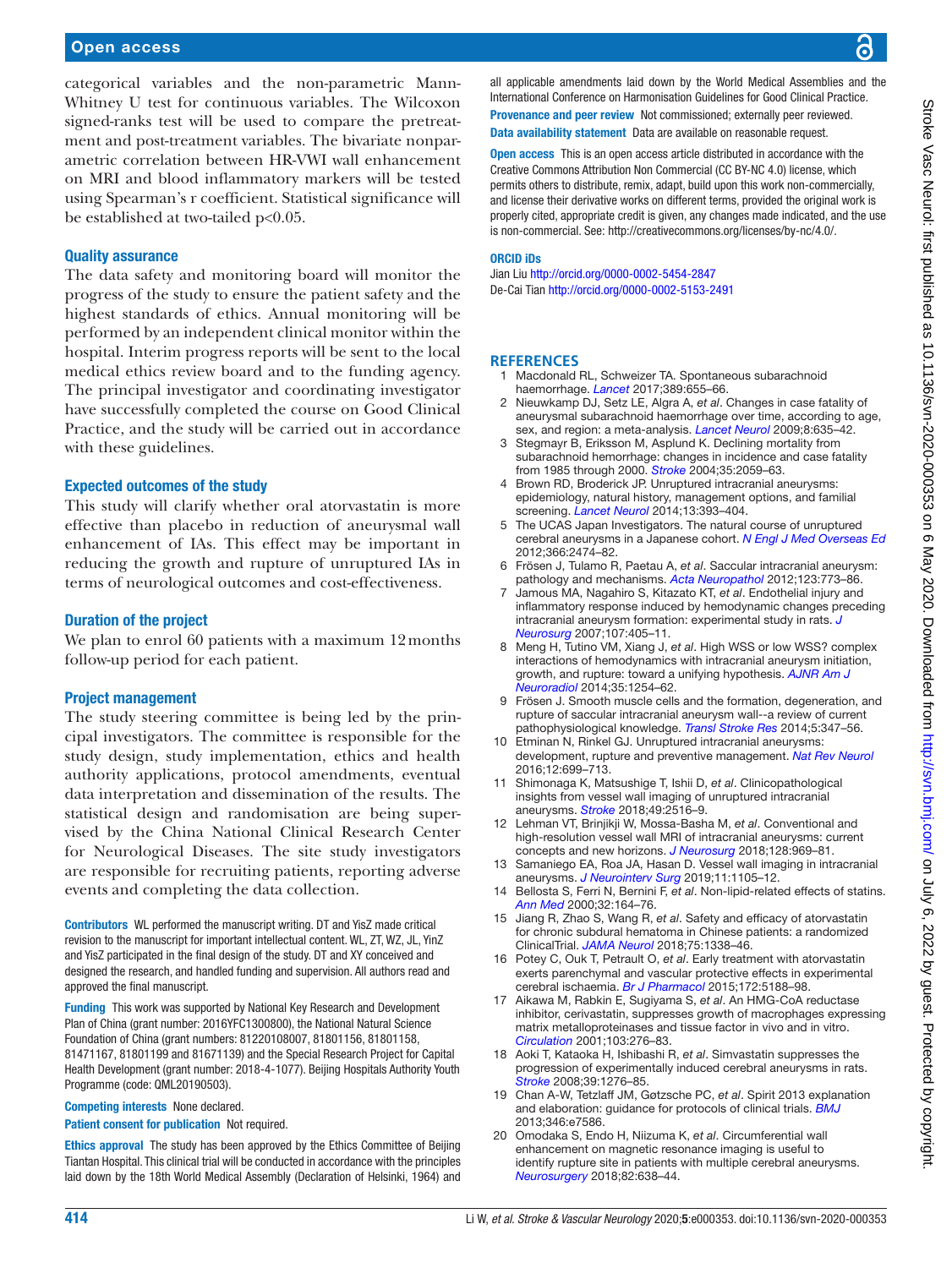Open access categorical variables and the non-parametric Mann-Whitney U test for continuous variables. The Wilcoxon signed-ranks test will be used to compare the pretreatment and post-treatment variables. The bivariate nonparametric correlation between HR-VWI wall enhancement on MRI and blood inflammatory markers will be tested using Spearman's r coefficient. Statistical significance will

### Quality assurance

be established at two-tailed p<0.05.

The data safety and monitoring board will monitor the progress of the study to ensure the patient safety and the highest standards of ethics. Annual monitoring will be performed by an independent clinical monitor within the hospital. Interim progress reports will be sent to the local medical ethics review board and to the funding agency. The principal investigator and coordinating investigator have successfully completed the course on Good Clinical Practice, and the study will be carried out in accordance with these guidelines.

# Expected outcomes of the study

This study will clarify whether oral atorvastatin is more effective than placebo in reduction of aneurysmal wall enhancement of IAs. This effect may be important in reducing the growth and rupture of unruptured IAs in terms of neurological outcomes and cost-effectiveness.

### Duration of the project

We plan to enrol 60 patients with a maximum 12 months follow-up period for each patient.

### Project management

The study steering committee is being led by the principal investigators. The committee is responsible for the study design, study implementation, ethics and health authority applications, protocol amendments, eventual data interpretation and dissemination of the results. The statistical design and randomisation are being supervised by the China National Clinical Research Center for Neurological Diseases. The site study investigators are responsible for recruiting patients, reporting adverse events and completing the data collection.

Contributors WL performed the manuscript writing. DT and YisZ made critical revision to the manuscript for important intellectual content. WL, ZT, WZ, JL, YinZ and YisZ participated in the final design of the study. DT and XY conceived and designed the research, and handled funding and supervision. All authors read and approved the final manuscript.

Funding This work was supported by National Key Research and Development Plan of China (grant number: 2016YFC1300800), the National Natural Science Foundation of China (grant numbers: 81220108007, 81801156, 81801158, 81471167, 81801199 and 81671139) and the Special Research Project for Capital Health Development (grant number: 2018-4-1077). Beijing Hospitals Authority Youth Programme (code: QML20190503).

#### Competing interests None declared.

Patient consent for publication Not required.

Ethics approval The study has been approved by the Ethics Committee of Beijing Tiantan Hospital. This clinical trial will be conducted in accordance with the principles laid down by the 18th World Medical Assembly (Declaration of Helsinki, 1964) and all applicable amendments laid down by the World Medical Assemblies and the International Conference on Harmonisation Guidelines for Good Clinical Practice. Provenance and peer review Not commissioned; externally peer reviewed. Data availability statement Data are available on reasonable request.

Open access This is an open access article distributed in accordance with the Creative Commons Attribution Non Commercial (CC BY-NC 4.0) license, which permits others to distribute, remix, adapt, build upon this work non-commercially, and license their derivative works on different terms, provided the original work is properly cited, appropriate credit is given, any changes made indicated, and the use is non-commercial. See: [http://creativecommons.org/licenses/by-nc/4.0/.](http://creativecommons.org/licenses/by-nc/4.0/)

#### ORCID iDs

Jian Liu <http://orcid.org/0000-0002-5454-2847> De-Cai Tian<http://orcid.org/0000-0002-5153-2491>

### **References**

- <span id="page-4-0"></span>1 Macdonald RL, Schweizer TA. Spontaneous subarachnoid haemorrhage. *[Lancet](http://dx.doi.org/10.1016/S0140-6736(16)30668-7)* 2017;389:655–66.
- <span id="page-4-1"></span>2 Nieuwkamp DJ, Setz LE, Algra A, *et al*. Changes in case fatality of aneurysmal subarachnoid haemorrhage over time, according to age, sex, and region: a meta-analysis. *[Lancet Neurol](http://dx.doi.org/10.1016/S1474-4422(09)70126-7)* 2009;8:635–42.
- 3 Stegmayr B, Eriksson M, Asplund K. Declining mortality from subarachnoid hemorrhage: changes in incidence and case fatality from 1985 through 2000. *[Stroke](http://dx.doi.org/10.1161/01.STR.0000138451.07853.b6)* 2004;35:2059–63.
- <span id="page-4-2"></span>4 Brown RD, Broderick JP. Unruptured intracranial aneurysms: epidemiology, natural history, management options, and familial screening. *[Lancet Neurol](http://dx.doi.org/10.1016/S1474-4422(14)70015-8)* 2014;13:393–404.
- <span id="page-4-3"></span>5 The UCAS Japan Investigators. The natural course of unruptured cerebral aneurysms in a Japanese cohort. *[N Engl J Med Overseas Ed](http://dx.doi.org/10.1056/NEJMoa1113260)* 2012;366:2474–82.
- <span id="page-4-4"></span>6 Frösen J, Tulamo R, Paetau A, *et al*. Saccular intracranial aneurysm: pathology and mechanisms. *[Acta Neuropathol](http://dx.doi.org/10.1007/s00401-011-0939-3)* 2012;123:773–86.
- <span id="page-4-5"></span>7 Jamous MA, Nagahiro S, Kitazato KT, *et al*. Endothelial injury and inflammatory response induced by hemodynamic changes preceding intracranial aneurysm formation: experimental study in rats. *[J](http://dx.doi.org/10.3171/JNS-07/08/0405)  [Neurosurg](http://dx.doi.org/10.3171/JNS-07/08/0405)* 2007;107:405–11.
- <span id="page-4-6"></span>8 Meng H, Tutino VM, Xiang J, *et al*. High WSS or low WSS? complex interactions of hemodynamics with intracranial aneurysm initiation, growth, and rupture: toward a unifying hypothesis. *[AJNR Am J](http://dx.doi.org/10.3174/ajnr.A3558)  [Neuroradiol](http://dx.doi.org/10.3174/ajnr.A3558)* 2014;35:1254–62.
- <span id="page-4-7"></span>9 Frösen J. Smooth muscle cells and the formation, degeneration, and rupture of saccular intracranial aneurysm wall--a review of current pathophysiological knowledge. *[Transl Stroke Res](http://dx.doi.org/10.1007/s12975-014-0340-3)* 2014;5:347–56.
- <span id="page-4-16"></span>10 Etminan N, Rinkel GJ. Unruptured intracranial aneurysms: development, rupture and preventive management. *[Nat Rev Neurol](http://dx.doi.org/10.1038/nrneurol.2016.150)* 2016;12:699–713.
- <span id="page-4-8"></span>11 Shimonaga K, Matsushige T, Ishii D, *et al*. Clinicopathological insights from vessel wall imaging of unruptured intracranial aneurysms. *[Stroke](http://dx.doi.org/10.1161/STROKEAHA.118.021819)* 2018;49:2516–9.
- <span id="page-4-9"></span>12 Lehman VT, Brinjikji W, Mossa-Basha M, *et al*. Conventional and high-resolution vessel wall MRI of intracranial aneurysms: current concepts and new horizons. *[J Neurosurg](http://dx.doi.org/10.3171/2016.12.JNS162262)* 2018;128:969–81.
- 13 Samaniego EA, Roa JA, Hasan D. Vessel wall imaging in intracranial aneurysms. *[J Neurointerv Surg](http://dx.doi.org/10.1136/neurintsurg-2019-014938)* 2019;11:1105–12.
- <span id="page-4-10"></span>14 Bellosta S, Ferri N, Bernini F, *et al*. Non-lipid-related effects of statins. *[Ann Med](http://dx.doi.org/10.3109/07853890008998823)* 2000;32:164–76.
- <span id="page-4-13"></span>15 Jiang R, Zhao S, Wang R, *et al*. Safety and efficacy of atorvastatin for chronic subdural hematoma in Chinese patients: a randomized ClinicalTrial. *[JAMA Neurol](http://dx.doi.org/10.1001/jamaneurol.2018.2030)* 2018;75:1338–46.
- <span id="page-4-11"></span>16 Potey C, Ouk T, Petrault O, *et al*. Early treatment with atorvastatin exerts parenchymal and vascular protective effects in experimental cerebral ischaemia. *[Br J Pharmacol](http://dx.doi.org/10.1111/bph.13285)* 2015;172:5188–98.
- <span id="page-4-12"></span>17 Aikawa M, Rabkin E, Sugiyama S, *et al*. An HMG-CoA reductase inhibitor, cerivastatin, suppresses growth of macrophages expressing matrix metalloproteinases and tissue factor in vivo and in vitro. *[Circulation](http://dx.doi.org/10.1161/01.CIR.103.2.276)* 2001;103:276–83.
- <span id="page-4-17"></span>18 Aoki T, Kataoka H, Ishibashi R, *et al*. Simvastatin suppresses the progression of experimentally induced cerebral aneurysms in rats. *[Stroke](http://dx.doi.org/10.1161/STROKEAHA.107.503086)* 2008;39:1276–85.
- <span id="page-4-14"></span>19 Chan A-W, Tetzlaff JM, Gøtzsche PC, *et al*. Spirit 2013 explanation and elaboration: guidance for protocols of clinical trials. *[BMJ](http://dx.doi.org/10.1136/bmj.e7586)* 2013;346:e7586.
- <span id="page-4-15"></span>20 Omodaka S, Endo H, Niizuma K, *et al*. Circumferential wall enhancement on magnetic resonance imaging is useful to identify rupture site in patients with multiple cerebral aneurysms. *[Neurosurgery](http://dx.doi.org/10.1093/neuros/nyx267)* 2018;82:638–44.